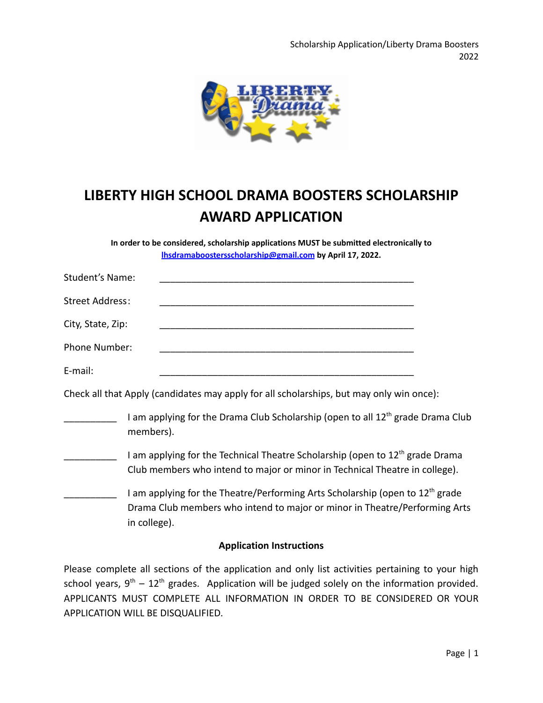

# **LIBERTY HIGH SCHOOL DRAMA BOOSTERS SCHOLARSHIP AWARD APPLICATION**

**In order to be considered, scholarship applications MUST be submitted electronically to [lhsdramaboostersscholarship@gmail.com](mailto:lhsdramaboostersscholarship@gmail.com) by April 17, 2022.**

| Student's Name:        |                                                                                          |  |
|------------------------|------------------------------------------------------------------------------------------|--|
| <b>Street Address:</b> |                                                                                          |  |
| City, State, Zip:      |                                                                                          |  |
| Phone Number:          |                                                                                          |  |
| E-mail:                |                                                                                          |  |
|                        | Check all that Apply (candidates may apply for all scholarships, but may only win once): |  |

- I am applying for the Drama Club Scholarship (open to all 12<sup>th</sup> grade Drama Club members).
- I am applying for the Technical Theatre Scholarship (open to 12<sup>th</sup> grade Drama Club members who intend to major or minor in Technical Theatre in college).
	- I am applying for the Theatre/Performing Arts Scholarship (open to 12<sup>th</sup> grade Drama Club members who intend to major or minor in Theatre/Performing Arts in college).

### **Application Instructions**

Please complete all sections of the application and only list activities pertaining to your high school years,  $9<sup>th</sup> - 12<sup>th</sup>$  grades. Application will be judged solely on the information provided. APPLICANTS MUST COMPLETE ALL INFORMATION IN ORDER TO BE CONSIDERED OR YOUR APPLICATION WILL BE DISQUALIFIED.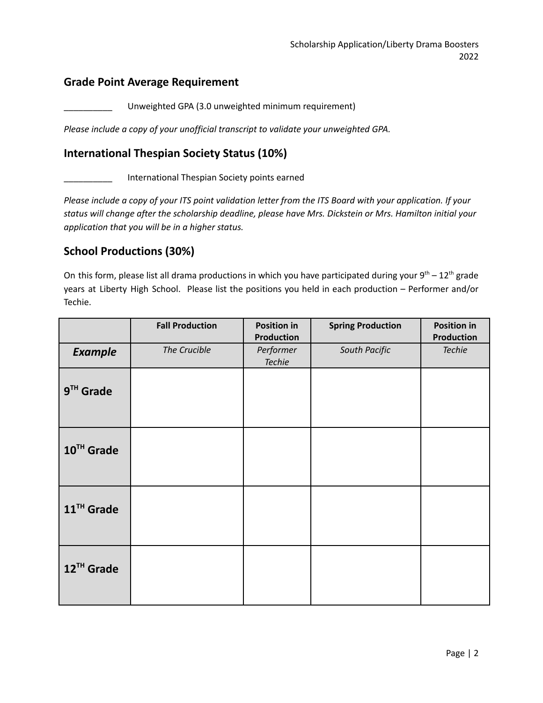### **Grade Point Average Requirement**

Unweighted GPA (3.0 unweighted minimum requirement)

*Please include a copy of your unofficial transcript to validate your unweighted GPA.*

## **International Thespian Society Status (10%)**

International Thespian Society points earned

Please include a copy of your ITS point validation letter from the ITS Board with your application. If your *status will change after the scholarship deadline, please have Mrs. Dickstein or Mrs. Hamilton initial your application that you will be in a higher status.*

## **School Productions (30%)**

On this form, please list all drama productions in which you have participated during your  $9<sup>th</sup> - 12<sup>th</sup>$  grade years at Liberty High School. Please list the positions you held in each production – Performer and/or Techie.

|                        | <b>Fall Production</b> | <b>Position in</b><br><b>Production</b> | <b>Spring Production</b> | <b>Position in</b><br><b>Production</b> |
|------------------------|------------------------|-----------------------------------------|--------------------------|-----------------------------------------|
| <b>Example</b>         | The Crucible           | Performer<br><b>Techie</b>              | South Pacific            | <b>Techie</b>                           |
| $9TH$ Grade            |                        |                                         |                          |                                         |
| 10TH Grade             |                        |                                         |                          |                                         |
| 11 <sup>TH</sup> Grade |                        |                                         |                          |                                         |
| 12TH Grade             |                        |                                         |                          |                                         |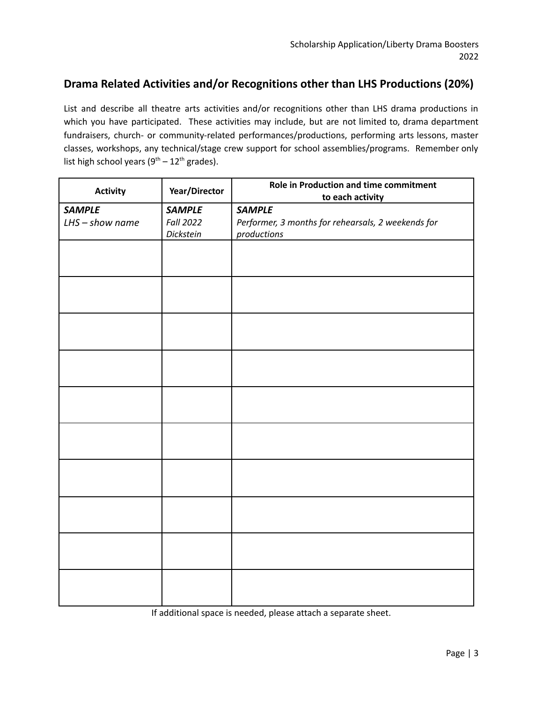## **Drama Related Activities and/or Recognitions other than LHS Productions (20%)**

List and describe all theatre arts activities and/or recognitions other than LHS drama productions in which you have participated. These activities may include, but are not limited to, drama department fundraisers, church- or community-related performances/productions, performing arts lessons, master classes, workshops, any technical/stage crew support for school assemblies/programs. Remember only list high school years  $(9<sup>th</sup> - 12<sup>th</sup>$  grades).

| <b>Activity</b>    | Year/Director    | Role in Production and time commitment<br>to each activity |  |
|--------------------|------------------|------------------------------------------------------------|--|
| <b>SAMPLE</b>      | <b>SAMPLE</b>    | <b>SAMPLE</b>                                              |  |
| $L$ HS - show name | <b>Fall 2022</b> | Performer, 3 months for rehearsals, 2 weekends for         |  |
|                    | Dickstein        | productions                                                |  |
|                    |                  |                                                            |  |
|                    |                  |                                                            |  |
|                    |                  |                                                            |  |
|                    |                  |                                                            |  |
|                    |                  |                                                            |  |
|                    |                  |                                                            |  |
|                    |                  |                                                            |  |
|                    |                  |                                                            |  |
|                    |                  |                                                            |  |
|                    |                  |                                                            |  |
|                    |                  |                                                            |  |
|                    |                  |                                                            |  |
|                    |                  |                                                            |  |
|                    |                  |                                                            |  |
|                    |                  |                                                            |  |
|                    |                  |                                                            |  |
|                    |                  |                                                            |  |
|                    |                  |                                                            |  |
|                    |                  |                                                            |  |
|                    |                  |                                                            |  |
|                    |                  |                                                            |  |
|                    |                  |                                                            |  |
|                    |                  |                                                            |  |
|                    |                  |                                                            |  |
|                    |                  |                                                            |  |
|                    |                  |                                                            |  |

If additional space is needed, please attach a separate sheet.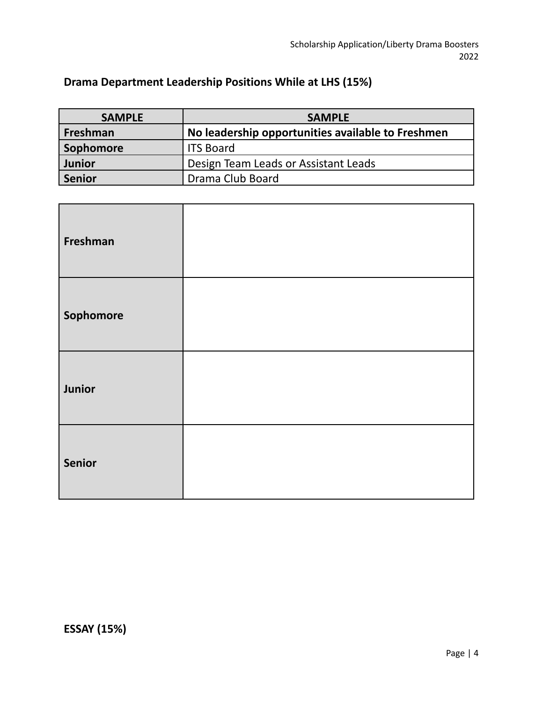## **Drama Department Leadership Positions While at LHS (15%)**

| <b>SAMPLE</b> | <b>SAMPLE</b>                                     |
|---------------|---------------------------------------------------|
| Freshman      | No leadership opportunities available to Freshmen |
| Sophomore     | <b>ITS Board</b>                                  |
| Junior        | Design Team Leads or Assistant Leads              |
| Senior        | Drama Club Board                                  |

| Freshman      |  |
|---------------|--|
| Sophomore     |  |
| Junior        |  |
| <b>Senior</b> |  |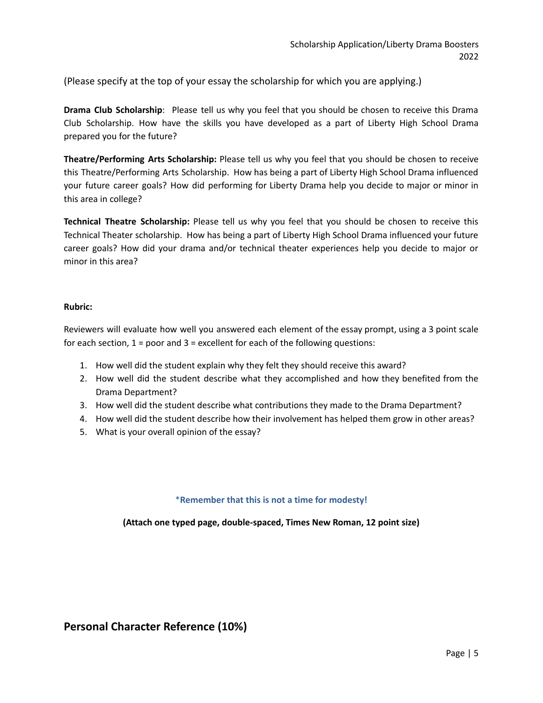(Please specify at the top of your essay the scholarship for which you are applying.)

**Drama Club Scholarship**: Please tell us why you feel that you should be chosen to receive this Drama Club Scholarship. How have the skills you have developed as a part of Liberty High School Drama prepared you for the future?

**Theatre/Performing Arts Scholarship:** Please tell us why you feel that you should be chosen to receive this Theatre/Performing Arts Scholarship. How has being a part of Liberty High School Drama influenced your future career goals? How did performing for Liberty Drama help you decide to major or minor in this area in college?

**Technical Theatre Scholarship:** Please tell us why you feel that you should be chosen to receive this Technical Theater scholarship. How has being a part of Liberty High School Drama influenced your future career goals? How did your drama and/or technical theater experiences help you decide to major or minor in this area?

#### **Rubric:**

Reviewers will evaluate how well you answered each element of the essay prompt, using a 3 point scale for each section,  $1 =$  poor and  $3 =$  excellent for each of the following questions:

- 1. How well did the student explain why they felt they should receive this award?
- 2. How well did the student describe what they accomplished and how they benefited from the Drama Department?
- 3. How well did the student describe what contributions they made to the Drama Department?
- 4. How well did the student describe how their involvement has helped them grow in other areas?
- 5. What is your overall opinion of the essay?

#### \***Remember that this is not a time for modesty!**

**(Attach one typed page, double-spaced, Times New Roman, 12 point size)**

## **Personal Character Reference (10%)**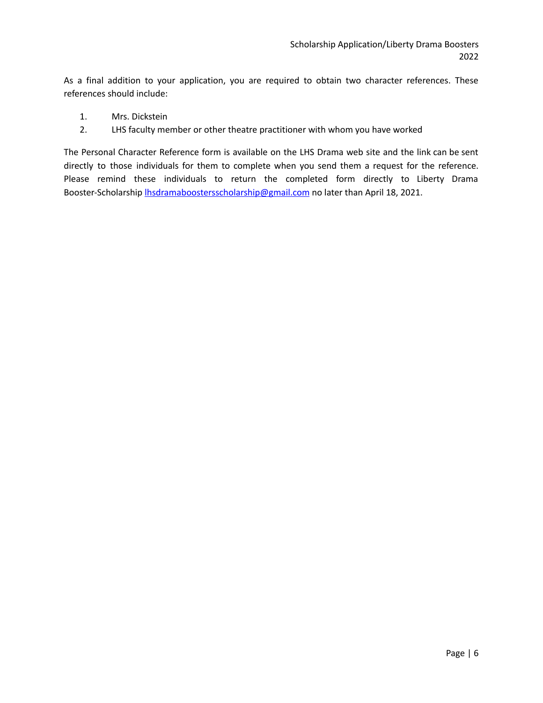As a final addition to your application, you are required to obtain two character references. These references should include:

- 1. Mrs. Dickstein
- 2. LHS faculty member or other theatre practitioner with whom you have worked

The Personal Character Reference form is available on the LHS Drama web site and the link can be sent directly to those individuals for them to complete when you send them a request for the reference. Please remind these individuals to return the completed form directly to Liberty Drama Booster-Scholarship *[lhsdramaboostersscholarship@gmail.com](mailto:lhsdramaboostersscholarship@gmail.com)* no later than April 18, 2021.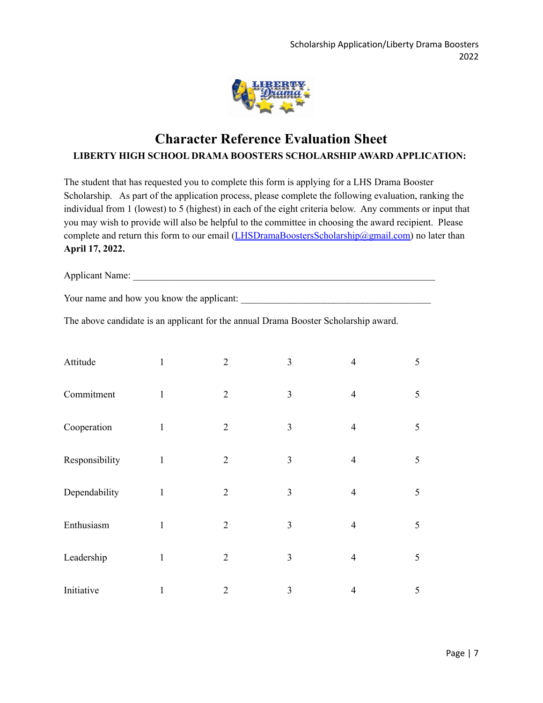

## **Character Reference Evaluation Sheet LIBERTY HIGH SCHOOL DRAMA BOOSTERS SCHOLARSHIPAWARD APPLICATION:**

The student that has requested you to complete this form is applying for a LHS Drama Booster Scholarship. As part of the application process, please complete the following evaluation, ranking the individual from 1 (lowest) to 5 (highest) in each of the eight criteria below. Any comments or input that you may wish to provide will also be helpful to the committee in choosing the award recipient. Please complete and return this form to our email ([LHSDramaBoostersScholarship@gmail.com\)](mailto:LHSDramaBoostersScholarship@gmail.com) no later than **April 17, 2022.**

Applicant Name: \_\_\_\_\_\_\_\_\_\_\_\_\_\_\_\_\_\_\_\_\_\_\_\_\_\_\_\_\_\_\_\_\_\_\_\_\_\_\_\_\_\_\_\_\_\_\_\_\_\_\_\_\_\_\_\_\_\_\_\_\_\_

Your name and how you know the applicant:

The above candidate is an applicant for the annual Drama Booster Scholarship award.

| Attitude       | $\mathbf{1}$ | $\overline{2}$ | 3              | $\overline{4}$ | 5 |
|----------------|--------------|----------------|----------------|----------------|---|
| Commitment     | $\mathbf{1}$ | $\overline{2}$ | 3              | $\overline{4}$ | 5 |
| Cooperation    | $\mathbf{1}$ | $\overline{2}$ | $\overline{3}$ | $\overline{4}$ | 5 |
| Responsibility | $\mathbf{1}$ | $\overline{2}$ | $\overline{3}$ | $\overline{4}$ | 5 |
| Dependability  | $\mathbf{1}$ | $\overline{2}$ | 3              | $\overline{4}$ | 5 |
| Enthusiasm     | $\mathbf{1}$ | $\overline{2}$ | $\overline{3}$ | $\overline{4}$ | 5 |
| Leadership     | $\mathbf{1}$ | $\overline{2}$ | 3              | $\overline{4}$ | 5 |
| Initiative     | $\mathbf{1}$ | $\overline{2}$ | 3              | $\overline{4}$ | 5 |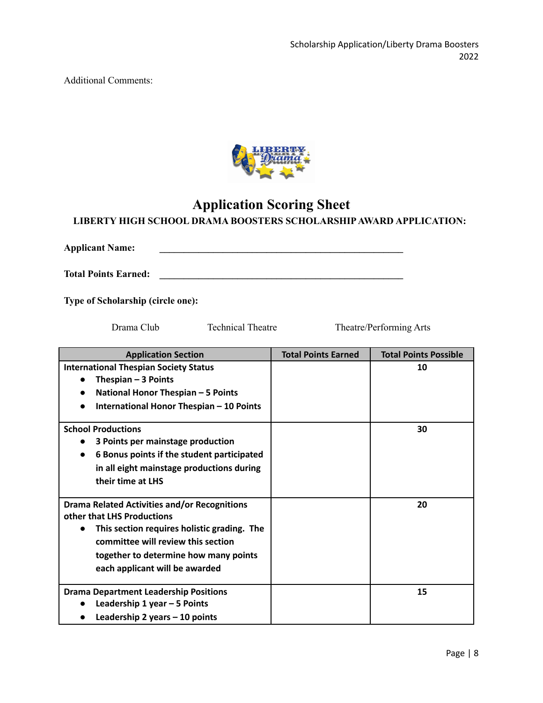Additional Comments:



## **Application Scoring Sheet**

### **LIBERTY HIGH SCHOOL DRAMA BOOSTERS SCHOLARSHIPAWARD APPLICATION:**

**Applicant Name: \_\_\_\_\_\_\_\_\_\_\_\_\_\_\_\_\_\_\_\_\_\_\_\_\_\_\_\_\_\_\_\_\_\_\_\_\_\_\_\_\_\_\_\_\_\_\_\_\_\_ Total Points Earned: \_\_\_\_\_\_\_\_\_\_\_\_\_\_\_\_\_\_\_\_\_\_\_\_\_\_\_\_\_\_\_\_\_\_\_\_\_\_\_\_\_\_\_\_\_\_\_\_\_\_**

**Type of Scholarship (circle one):**

Drama Club Technical Theatre Theatre/Performing Arts

| <b>Application Section</b>                                                                                                                                                                                                                                     | <b>Total Points Earned</b> | <b>Total Points Possible</b> |
|----------------------------------------------------------------------------------------------------------------------------------------------------------------------------------------------------------------------------------------------------------------|----------------------------|------------------------------|
| <b>International Thespian Society Status</b><br>Thespian $-3$ Points<br>National Honor Thespian - 5 Points<br>International Honor Thespian - 10 Points                                                                                                         |                            | 10                           |
| <b>School Productions</b><br>3 Points per mainstage production<br>$\bullet$<br>6 Bonus points if the student participated<br>$\bullet$<br>in all eight mainstage productions during<br>their time at LHS                                                       |                            | 30                           |
| <b>Drama Related Activities and/or Recognitions</b><br>other that LHS Productions<br>This section requires holistic grading. The<br>$\bullet$<br>committee will review this section<br>together to determine how many points<br>each applicant will be awarded |                            | 20                           |
| <b>Drama Department Leadership Positions</b><br>Leadership 1 year - 5 Points<br>Leadership 2 years $-10$ points                                                                                                                                                |                            | 15                           |